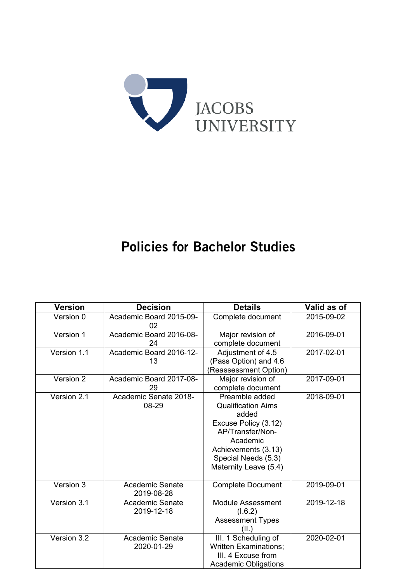

# Policies for Bachelor Studies

| <b>Version</b> | <b>Decision</b>                      | <b>Details</b>                                                                                                                                                                      | Valid as of |
|----------------|--------------------------------------|-------------------------------------------------------------------------------------------------------------------------------------------------------------------------------------|-------------|
| Version 0      | Academic Board 2015-09-<br>02        | Complete document                                                                                                                                                                   | 2015-09-02  |
| Version 1      | Academic Board 2016-08-<br>24        | Major revision of<br>complete document                                                                                                                                              | 2016-09-01  |
| Version 1.1    | Academic Board 2016-12-<br>13        | Adjustment of 4.5<br>(Pass Option) and 4.6<br>(Reassessment Option)                                                                                                                 | 2017-02-01  |
| Version 2      | Academic Board 2017-08-<br>29        | Major revision of<br>complete document                                                                                                                                              | 2017-09-01  |
| Version 2.1    | Academic Senate 2018-<br>08-29       | Preamble added<br><b>Qualification Aims</b><br>added<br>Excuse Policy (3.12)<br>AP/Transfer/Non-<br>Academic<br>Achievements (3.13)<br>Special Needs (5.3)<br>Maternity Leave (5.4) | 2018-09-01  |
| Version 3      | <b>Academic Senate</b><br>2019-08-28 | <b>Complete Document</b>                                                                                                                                                            | 2019-09-01  |
| Version 3.1    | <b>Academic Senate</b><br>2019-12-18 | <b>Module Assessment</b><br>(1.6.2)<br><b>Assessment Types</b><br>(II.)                                                                                                             | 2019-12-18  |
| Version 3.2    | <b>Academic Senate</b><br>2020-01-29 | III. 1 Scheduling of<br><b>Written Examinations;</b><br>III. 4 Excuse from<br><b>Academic Obligations</b>                                                                           | 2020-02-01  |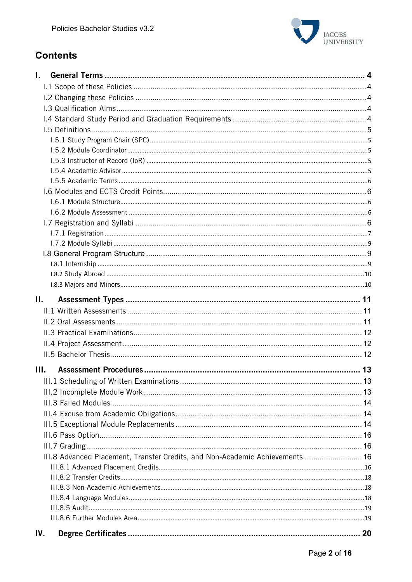

# **Contents**

| L.  |                                                                               |    |
|-----|-------------------------------------------------------------------------------|----|
|     |                                                                               |    |
|     |                                                                               |    |
|     |                                                                               |    |
|     |                                                                               |    |
|     |                                                                               |    |
|     |                                                                               |    |
|     |                                                                               |    |
|     |                                                                               |    |
|     |                                                                               |    |
|     |                                                                               |    |
|     |                                                                               |    |
|     |                                                                               |    |
|     |                                                                               |    |
|     |                                                                               |    |
|     |                                                                               |    |
|     |                                                                               |    |
|     |                                                                               |    |
|     |                                                                               |    |
|     |                                                                               |    |
|     |                                                                               |    |
| П.  |                                                                               |    |
|     |                                                                               |    |
|     |                                                                               |    |
|     |                                                                               |    |
|     |                                                                               |    |
|     |                                                                               |    |
| Ш.  |                                                                               |    |
|     |                                                                               |    |
|     |                                                                               |    |
|     |                                                                               |    |
|     |                                                                               |    |
|     |                                                                               |    |
|     |                                                                               |    |
|     |                                                                               |    |
|     |                                                                               |    |
|     | III.8 Advanced Placement, Transfer Credits, and Non-Academic Achievements  16 |    |
|     |                                                                               |    |
|     |                                                                               |    |
|     |                                                                               |    |
|     |                                                                               |    |
|     |                                                                               |    |
|     |                                                                               |    |
| IV. |                                                                               | 20 |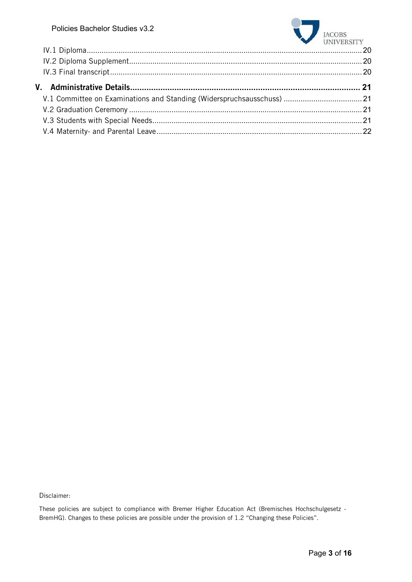

Disclaimer:

These policies are subject to compliance with Bremer Higher Education Act (Bremisches Hochschulgesetz - BremHG). Changes to these policies are possible under the provision of 1.2 "Changing these Policies".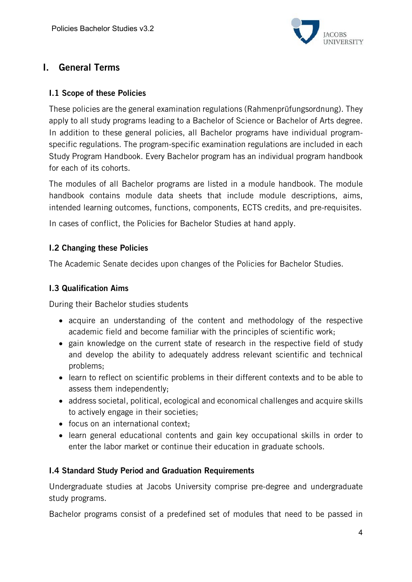

# I. General Terms

### I.1 Scope of these Policies

These policies are the general examination regulations (Rahmenprüfungsordnung). They apply to all study programs leading to a Bachelor of Science or Bachelor of Arts degree. In addition to these general policies, all Bachelor programs have individual programspecific regulations. The program-specific examination regulations are included in each Study Program Handbook. Every Bachelor program has an individual program handbook for each of its cohorts.

The modules of all Bachelor programs are listed in a module handbook. The module handbook contains module data sheets that include module descriptions, aims, intended learning outcomes, functions, components, ECTS credits, and pre-requisites.

In cases of conflict, the Policies for Bachelor Studies at hand apply.

### I.2 Changing these Policies

The Academic Senate decides upon changes of the Policies for Bachelor Studies.

#### I.3 Qualification Aims

During their Bachelor studies students

- acquire an understanding of the content and methodology of the respective academic field and become familiar with the principles of scientific work;
- gain knowledge on the current state of research in the respective field of study and develop the ability to adequately address relevant scientific and technical problems;
- learn to reflect on scientific problems in their different contexts and to be able to assess them independently;
- address societal, political, ecological and economical challenges and acquire skills to actively engage in their societies;
- focus on an international context;
- learn general educational contents and gain key occupational skills in order to enter the labor market or continue their education in graduate schools.

#### I.4 Standard Study Period and Graduation Requirements

Undergraduate studies at Jacobs University comprise pre-degree and undergraduate study programs.

Bachelor programs consist of a predefined set of modules that need to be passed in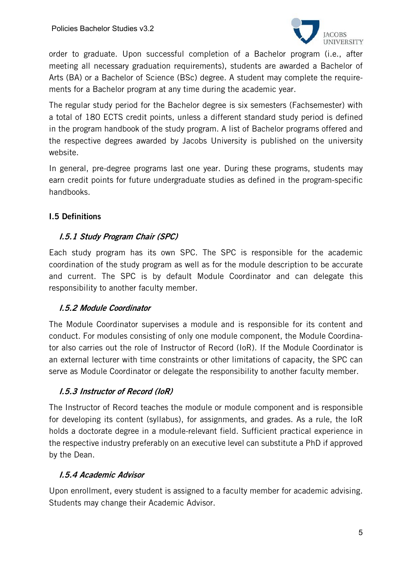

order to graduate. Upon successful completion of a Bachelor program (i.e., after meeting all necessary graduation requirements), students are awarded a Bachelor of Arts (BA) or a Bachelor of Science (BSc) degree. A student may complete the requirements for a Bachelor program at any time during the academic year.

The regular study period for the Bachelor degree is six semesters (Fachsemester) with a total of 180 ECTS credit points, unless a different standard study period is defined in the program handbook of the study program. A list of Bachelor programs offered and the respective degrees awarded by Jacobs University is published on the university website.

In general, pre-degree programs last one year. During these programs, students may earn credit points for future undergraduate studies as defined in the program-specific handbooks.

# I.5 Definitions

### I.5.1 Study Program Chair (SPC)

Each study program has its own SPC. The SPC is responsible for the academic coordination of the study program as well as for the module description to be accurate and current. The SPC is by default Module Coordinator and can delegate this responsibility to another faculty member.

### I.5.2 Module Coordinator

The Module Coordinator supervises a module and is responsible for its content and conduct. For modules consisting of only one module component, the Module Coordinator also carries out the role of Instructor of Record (IoR). If the Module Coordinator is an external lecturer with time constraints or other limitations of capacity, the SPC can serve as Module Coordinator or delegate the responsibility to another faculty member.

### I.5.3 Instructor of Record (IoR)

The Instructor of Record teaches the module or module component and is responsible for developing its content (syllabus), for assignments, and grades. As a rule, the IoR holds a doctorate degree in a module-relevant field. Sufficient practical experience in the respective industry preferably on an executive level can substitute a PhD if approved by the Dean.

### I.5.4 Academic Advisor

Upon enrollment, every student is assigned to a faculty member for academic advising. Students may change their Academic Advisor.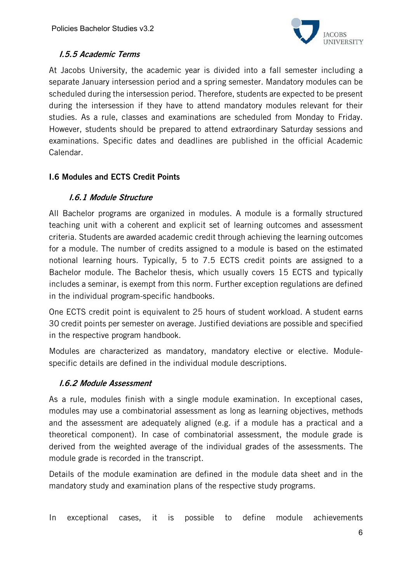

# I.5.5 Academic Terms

At Jacobs University, the academic year is divided into a fall semester including a separate January intersession period and a spring semester. Mandatory modules can be scheduled during the intersession period. Therefore, students are expected to be present during the intersession if they have to attend mandatory modules relevant for their studies. As a rule, classes and examinations are scheduled from Monday to Friday. However, students should be prepared to attend extraordinary Saturday sessions and examinations. Specific dates and deadlines are published in the official Academic Calendar.

# I.6 Modules and ECTS Credit Points

# I.6.1 Module Structure

All Bachelor programs are organized in modules. A module is a formally structured teaching unit with a coherent and explicit set of learning outcomes and assessment criteria. Students are awarded academic credit through achieving the learning outcomes for a module. The number of credits assigned to a module is based on the estimated notional learning hours. Typically, 5 to 7.5 ECTS credit points are assigned to a Bachelor module. The Bachelor thesis, which usually covers 15 ECTS and typically includes a seminar, is exempt from this norm. Further exception regulations are defined in the individual program-specific handbooks.

One ECTS credit point is equivalent to 25 hours of student workload. A student earns 30 credit points per semester on average. Justified deviations are possible and specified in the respective program handbook.

Modules are characterized as mandatory, mandatory elective or elective. Modulespecific details are defined in the individual module descriptions.

### I.6.2 Module Assessment

As a rule, modules finish with a single module examination. In exceptional cases, modules may use a combinatorial assessment as long as learning objectives, methods and the assessment are adequately aligned (e.g. if a module has a practical and a theoretical component). In case of combinatorial assessment, the module grade is derived from the weighted average of the individual grades of the assessments. The module grade is recorded in the transcript.

Details of the module examination are defined in the module data sheet and in the mandatory study and examination plans of the respective study programs.

In exceptional cases, it is possible to define module achievements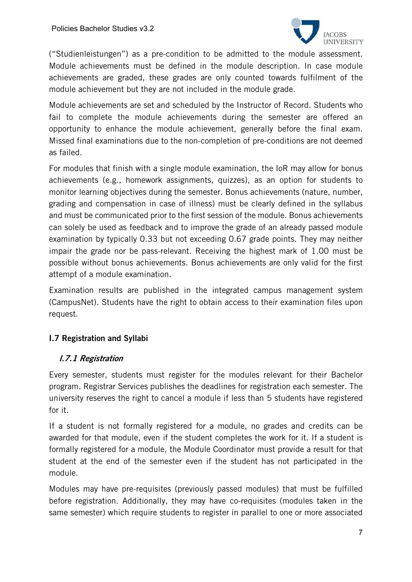

("Studienleistungen") as a pre-condition to be admitted to the module assessment. Module achievements must be defined in the module description. In case module achievements are graded, these grades are only counted towards fulfilment of the module achievement but they are not included in the module grade.

Module achievements are set and scheduled by the Instructor of Record. Students who fail to complete the module achievements during the semester are offered an opportunity to enhance the module achievement, generally before the final exam. Missed final examinations due to the non-completion of pre-conditions are not deemed as failed.

For modules that finish with a single module examination, the IoR may allow for bonus achievements (e.g., homework assignments, quizzes), as an option for students to monitor learning objectives during the semester. Bonus achievements (nature, number, grading and compensation in case of illness) must be clearly defined in the syllabus and must be communicated prior to the first session of the module. Bonus achievements can solely be used as feedback and to improve the grade of an already passed module examination by typically 0.33 but not exceeding 0.67 grade points. They may neither impair the grade nor be pass-relevant. Receiving the highest mark of 1.00 must be possible without bonus achievements. Bonus achievements are only valid for the first attempt of a module examination.

Examination results are published in the integrated campus management system (CampusNet). Students have the right to obtain access to their examination files upon request.

# I.7 Registration and Syllabi

### I.7.1 Registration

Every semester, students must register for the modules relevant for their Bachelor program. Registrar Services publishes the deadlines for registration each semester. The university reserves the right to cancel a module if less than 5 students have registered for it.

If a student is not formally registered for a module, no grades and credits can be awarded for that module, even if the student completes the work for it. If a student is formally registered for a module, the Module Coordinator must provide a result for that student at the end of the semester even if the student has not participated in the module.

Modules may have pre-requisites (previously passed modules) that must be fulfilled before registration. Additionally, they may have co-requisites (modules taken in the same semester) which require students to register in parallel to one or more associated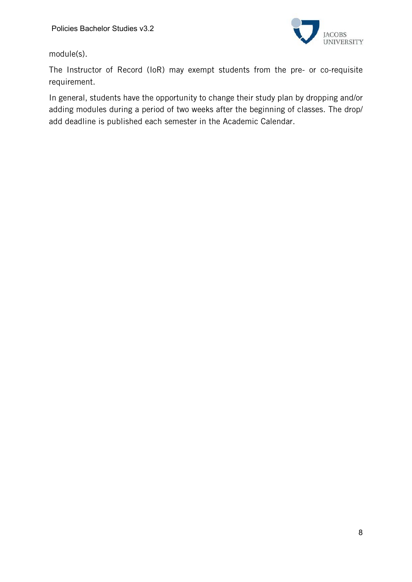

module(s).

The Instructor of Record (IoR) may exempt students from the pre- or co-requisite requirement.

In general, students have the opportunity to change their study plan by dropping and/or adding modules during a period of two weeks after the beginning of classes. The drop/ add deadline is published each semester in the Academic Calendar.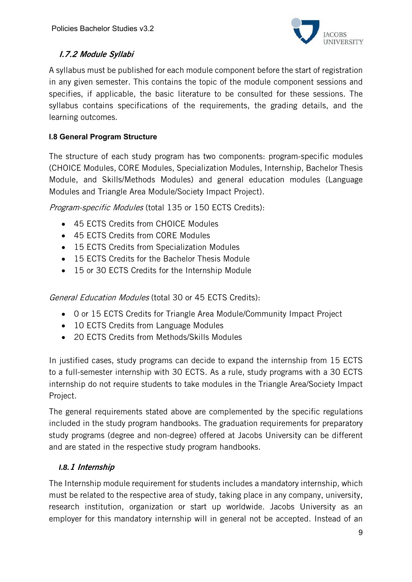

# I.7.2 Module Syllabi

A syllabus must be published for each module component before the start of registration in any given semester. This contains the topic of the module component sessions and specifies, if applicable, the basic literature to be consulted for these sessions. The syllabus contains specifications of the requirements, the grading details, and the learning outcomes.

# **I.8 General Program Structure**

The structure of each study program has two components: program-specific modules (CHOICE Modules, CORE Modules, Specialization Modules, Internship, Bachelor Thesis Module, and Skills/Methods Modules) and general education modules (Language Modules and Triangle Area Module/Society Impact Project).

Program-specific Modules (total 135 or 150 ECTS Credits):

- 45 ECTS Credits from CHOICE Modules
- 45 ECTS Credits from CORE Modules
- 15 ECTS Credits from Specialization Modules
- 15 ECTS Credits for the Bachelor Thesis Module
- 15 or 30 ECTS Credits for the Internship Module

General Education Modules (total 30 or 45 ECTS Credits):

- 0 or 15 ECTS Credits for Triangle Area Module/Community Impact Project
- 10 ECTS Credits from Language Modules
- 20 ECTS Credits from Methods/Skills Modules

In justified cases, study programs can decide to expand the internship from 15 ECTS to a full-semester internship with 30 ECTS. As a rule, study programs with a 30 ECTS internship do not require students to take modules in the Triangle Area/Society Impact Project.

The general requirements stated above are complemented by the specific regulations included in the study program handbooks. The graduation requirements for preparatory study programs (degree and non-degree) offered at Jacobs University can be different and are stated in the respective study program handbooks.

# *I.8.*1 Internship

The Internship module requirement for students includes a mandatory internship, which must be related to the respective area of study, taking place in any company, university, research institution, organization or start up worldwide. Jacobs University as an employer for this mandatory internship will in general not be accepted. Instead of an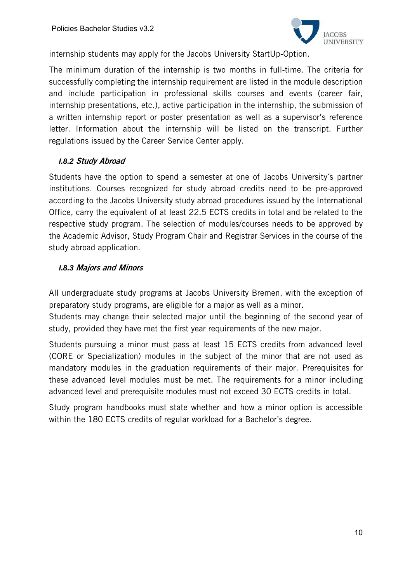

internship students may apply for the Jacobs University StartUp-Option.

The minimum duration of the internship is two months in full-time. The criteria for successfully completing the internship requirement are listed in the module description and include participation in professional skills courses and events (career fair, internship presentations, etc.), active participation in the internship, the submission of a written internship report or poster presentation as well as a supervisor's reference letter. Information about the internship will be listed on the transcript. Further regulations issued by the Career Service Center apply.

### *I.8.2* Study Abroad

Students have the option to spend a semester at one of Jacobs University´s partner institutions. Courses recognized for study abroad credits need to be pre-approved according to the Jacobs University study abroad procedures issued by the International Office, carry the equivalent of at least 22.5 ECTS credits in total and be related to the respective study program. The selection of modules/courses needs to be approved by the Academic Advisor, Study Program Chair and Registrar Services in the course of the study abroad application.

### *I.8.3* Majors and Minors

All undergraduate study programs at Jacobs University Bremen, with the exception of preparatory study programs, are eligible for a major as well as a minor.

Students may change their selected major until the beginning of the second year of study, provided they have met the first year requirements of the new major.

Students pursuing a minor must pass at least 15 ECTS credits from advanced level (CORE or Specialization) modules in the subject of the minor that are not used as mandatory modules in the graduation requirements of their major. Prerequisites for these advanced level modules must be met. The requirements for a minor including advanced level and prerequisite modules must not exceed 30 ECTS credits in total.

Study program handbooks must state whether and how a minor option is accessible within the 180 ECTS credits of regular workload for a Bachelor's degree.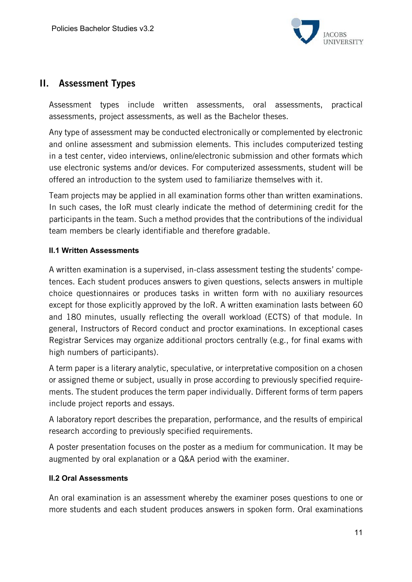

# II. Assessment Types

Assessment types include written assessments, oral assessments, practical assessments, project assessments, as well as the Bachelor theses.

Any type of assessment may be conducted electronically or complemented by electronic and online assessment and submission elements. This includes computerized testing in a test center, video interviews, online/electronic submission and other formats which use electronic systems and/or devices. For computerized assessments, student will be offered an introduction to the system used to familiarize themselves with it.

Team projects may be applied in all examination forms other than written examinations. In such cases, the IoR must clearly indicate the method of determining credit for the participants in the team. Such a method provides that the contributions of the individual team members be clearly identifiable and therefore gradable.

### **II.1 Written Assessments**

A written examination is a supervised, in-class assessment testing the students' competences. Each student produces answers to given questions, selects answers in multiple choice questionnaires or produces tasks in written form with no auxiliary resources except for those explicitly approved by the IoR. A written examination lasts between 60 and 180 minutes, usually reflecting the overall workload (ECTS) of that module. In general, Instructors of Record conduct and proctor examinations. In exceptional cases Registrar Services may organize additional proctors centrally (e.g., for final exams with high numbers of participants).

A term paper is a literary analytic, speculative, or interpretative composition on a chosen or assigned theme or subject, usually in prose according to previously specified requirements. The student produces the term paper individually. Different forms of term papers include project reports and essays.

A laboratory report describes the preparation, performance, and the results of empirical research according to previously specified requirements.

A poster presentation focuses on the poster as a medium for communication. It may be augmented by oral explanation or a Q&A period with the examiner.

### **II.2 Oral Assessments**

An oral examination is an assessment whereby the examiner poses questions to one or more students and each student produces answers in spoken form. Oral examinations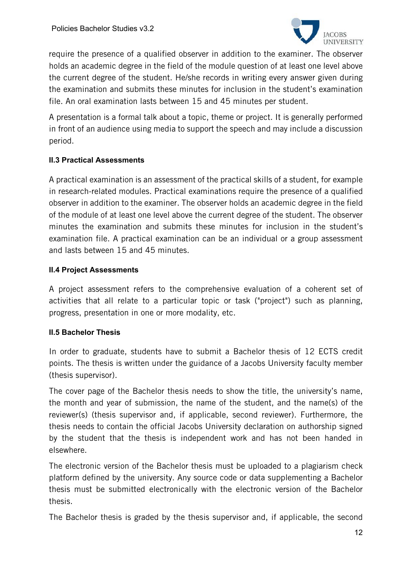

require the presence of a qualified observer in addition to the examiner. The observer holds an academic degree in the field of the module question of at least one level above the current degree of the student. He/she records in writing every answer given during the examination and submits these minutes for inclusion in the student's examination file. An oral examination lasts between 15 and 45 minutes per student.

A presentation is a formal talk about a topic, theme or project. It is generally performed in front of an audience using media to support the speech and may include a discussion period.

### **II.3 Practical Assessments**

A practical examination is an assessment of the practical skills of a student, for example in research-related modules. Practical examinations require the presence of a qualified observer in addition to the examiner. The observer holds an academic degree in the field of the module of at least one level above the current degree of the student. The observer minutes the examination and submits these minutes for inclusion in the student's examination file. A practical examination can be an individual or a group assessment and lasts between 15 and 45 minutes.

### **II.4 Project Assessments**

A project assessment refers to the comprehensive evaluation of a coherent set of activities that all relate to a particular topic or task ("project") such as planning, progress, presentation in one or more modality, etc.

### **II.5 Bachelor Thesis**

In order to graduate, students have to submit a Bachelor thesis of 12 ECTS credit points. The thesis is written under the guidance of a Jacobs University faculty member (thesis supervisor).

The cover page of the Bachelor thesis needs to show the title, the university's name, the month and year of submission, the name of the student, and the name(s) of the reviewer(s) (thesis supervisor and, if applicable, second reviewer). Furthermore, the thesis needs to contain the official Jacobs University declaration on authorship signed by the student that the thesis is independent work and has not been handed in elsewhere.

The electronic version of the Bachelor thesis must be uploaded to a plagiarism check platform defined by the university. Any source code or data supplementing a Bachelor thesis must be submitted electronically with the electronic version of the Bachelor thesis.

The Bachelor thesis is graded by the thesis supervisor and, if applicable, the second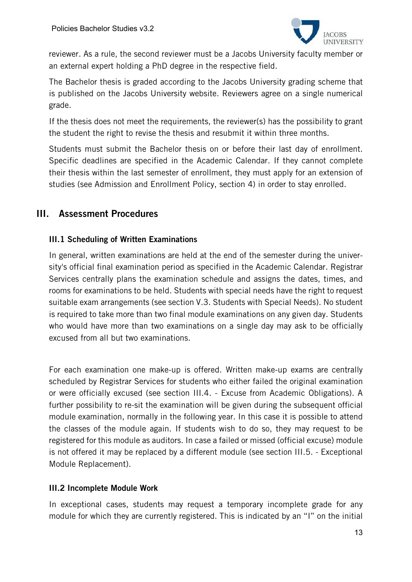

reviewer. As a rule, the second reviewer must be a Jacobs University faculty member or an external expert holding a PhD degree in the respective field.

The Bachelor thesis is graded according to the Jacobs University grading scheme that is published on the Jacobs University website. Reviewers agree on a single numerical grade.

If the thesis does not meet the requirements, the reviewer(s) has the possibility to grant the student the right to revise the thesis and resubmit it within three months.

Students must submit the Bachelor thesis on or before their last day of enrollment. Specific deadlines are specified in the Academic Calendar. If they cannot complete their thesis within the last semester of enrollment, they must apply for an extension of studies (see Admission and Enrollment Policy, section 4) in order to stay enrolled.

# III. Assessment Procedures

### III.1 Scheduling of Written Examinations

In general, written examinations are held at the end of the semester during the university's official final examination period as specified in the Academic Calendar. Registrar Services centrally plans the examination schedule and assigns the dates, times, and rooms for examinations to be held. Students with special needs have the right to request suitable exam arrangements (see section V.3. Students with Special Needs). No student is required to take more than two final module examinations on any given day. Students who would have more than two examinations on a single day may ask to be officially excused from all but two examinations.

For each examination one make-up is offered. Written make-up exams are centrally scheduled by Registrar Services for students who either failed the original examination or were officially excused (see section III.4. - Excuse from Academic Obligations). A further possibility to re-sit the examination will be given during the subsequent official module examination, normally in the following year. In this case it is possible to attend the classes of the module again. If students wish to do so, they may request to be registered for this module as auditors. In case a failed or missed (official excuse) module is not offered it may be replaced by a different module (see section III.5. - Exceptional Module Replacement).

### III.2 Incomplete Module Work

In exceptional cases, students may request a temporary incomplete grade for any module for which they are currently registered. This is indicated by an "I" on the initial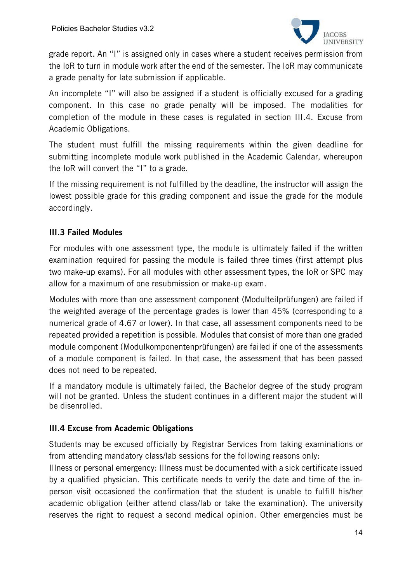

grade report. An "I" is assigned only in cases where a student receives permission from the IoR to turn in module work after the end of the semester. The IoR may communicate a grade penalty for late submission if applicable.

An incomplete "I" will also be assigned if a student is officially excused for a grading component. In this case no grade penalty will be imposed. The modalities for completion of the module in these cases is regulated in section III.4. Excuse from Academic Obligations.

The student must fulfill the missing requirements within the given deadline for submitting incomplete module work published in the Academic Calendar, whereupon the IoR will convert the "I" to a grade.

If the missing requirement is not fulfilled by the deadline, the instructor will assign the lowest possible grade for this grading component and issue the grade for the module accordingly.

# III.3 Failed Modules

For modules with one assessment type, the module is ultimately failed if the written examination required for passing the module is failed three times (first attempt plus two make-up exams). For all modules with other assessment types, the IoR or SPC may allow for a maximum of one resubmission or make-up exam.

Modules with more than one assessment component (Modulteilprüfungen) are failed if the weighted average of the percentage grades is lower than 45% (corresponding to a numerical grade of 4.67 or lower). In that case, all assessment components need to be repeated provided a repetition is possible. Modules that consist of more than one graded module component (Modulkomponentenprüfungen) are failed if one of the assessments of a module component is failed. In that case, the assessment that has been passed does not need to be repeated.

If a mandatory module is ultimately failed, the Bachelor degree of the study program will not be granted. Unless the student continues in a different major the student will be disenrolled.

### III.4 Excuse from Academic Obligations

Students may be excused officially by Registrar Services from taking examinations or from attending mandatory class/lab sessions for the following reasons only:

Illness or personal emergency: Illness must be documented with a sick certificate issued by a qualified physician. This certificate needs to verify the date and time of the inperson visit occasioned the confirmation that the student is unable to fulfill his/her academic obligation (either attend class/lab or take the examination). The university reserves the right to request a second medical opinion. Other emergencies must be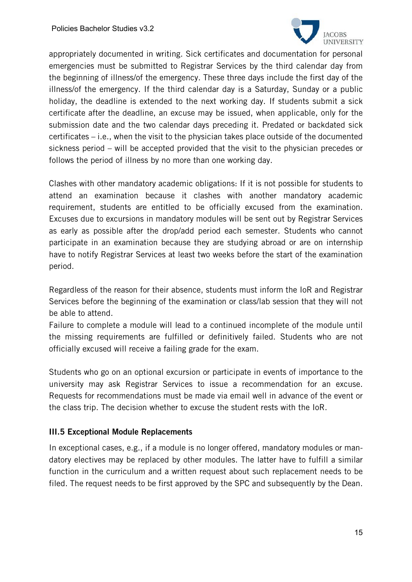

appropriately documented in writing. Sick certificates and documentation for personal emergencies must be submitted to Registrar Services by the third calendar day from the beginning of illness/of the emergency. These three days include the first day of the illness/of the emergency. If the third calendar day is a Saturday, Sunday or a public holiday, the deadline is extended to the next working day. If students submit a sick certificate after the deadline, an excuse may be issued, when applicable, only for the submission date and the two calendar days preceding it. Predated or backdated sick certificates – i.e., when the visit to the physician takes place outside of the documented sickness period – will be accepted provided that the visit to the physician precedes or follows the period of illness by no more than one working day.

Clashes with other mandatory academic obligations: If it is not possible for students to attend an examination because it clashes with another mandatory academic requirement, students are entitled to be officially excused from the examination. Excuses due to excursions in mandatory modules will be sent out by Registrar Services as early as possible after the drop/add period each semester. Students who cannot participate in an examination because they are studying abroad or are on internship have to notify Registrar Services at least two weeks before the start of the examination period.

Regardless of the reason for their absence, students must inform the IoR and Registrar Services before the beginning of the examination or class/lab session that they will not be able to attend.

Failure to complete a module will lead to a continued incomplete of the module until the missing requirements are fulfilled or definitively failed. Students who are not officially excused will receive a failing grade for the exam.

Students who go on an optional excursion or participate in events of importance to the university may ask Registrar Services to issue a recommendation for an excuse. Requests for recommendations must be made via email well in advance of the event or the class trip. The decision whether to excuse the student rests with the IoR.

### III.5 Exceptional Module Replacements

In exceptional cases, e.g., if a module is no longer offered, mandatory modules or mandatory electives may be replaced by other modules. The latter have to fulfill a similar function in the curriculum and a written request about such replacement needs to be filed. The request needs to be first approved by the SPC and subsequently by the Dean.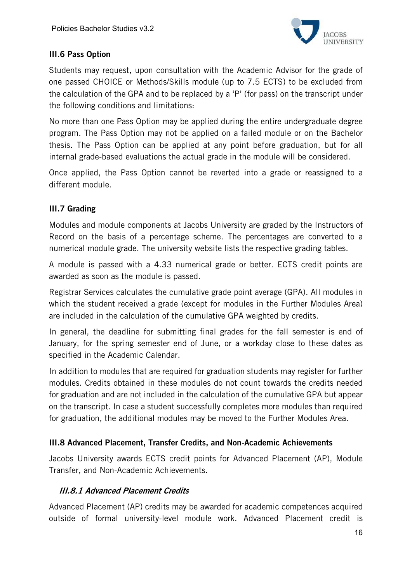

# III.6 Pass Option

Students may request, upon consultation with the Academic Advisor for the grade of one passed CHOICE or Methods/Skills module (up to 7.5 ECTS) to be excluded from the calculation of the GPA and to be replaced by a 'P' (for pass) on the transcript under the following conditions and limitations:

No more than one Pass Option may be applied during the entire undergraduate degree program. The Pass Option may not be applied on a failed module or on the Bachelor thesis. The Pass Option can be applied at any point before graduation, but for all internal grade-based evaluations the actual grade in the module will be considered.

Once applied, the Pass Option cannot be reverted into a grade or reassigned to a different module.

# III.7 Grading

Modules and module components at Jacobs University are graded by the Instructors of Record on the basis of a percentage scheme. The percentages are converted to a numerical module grade. The university website lists the respective grading tables.

A module is passed with a 4.33 numerical grade or better. ECTS credit points are awarded as soon as the module is passed.

Registrar Services calculates the cumulative grade point average (GPA). All modules in which the student received a grade (except for modules in the Further Modules Area) are included in the calculation of the cumulative GPA weighted by credits.

In general, the deadline for submitting final grades for the fall semester is end of January, for the spring semester end of June, or a workday close to these dates as specified in the Academic Calendar.

In addition to modules that are required for graduation students may register for further modules. Credits obtained in these modules do not count towards the credits needed for graduation and are not included in the calculation of the cumulative GPA but appear on the transcript. In case a student successfully completes more modules than required for graduation, the additional modules may be moved to the Further Modules Area.

# III.8 Advanced Placement, Transfer Credits, and Non-Academic Achievements

Jacobs University awards ECTS credit points for Advanced Placement (AP), Module Transfer, and Non-Academic Achievements.

# III.8.1 Advanced Placement Credits

Advanced Placement (AP) credits may be awarded for academic competences acquired outside of formal university-level module work. Advanced Placement credit is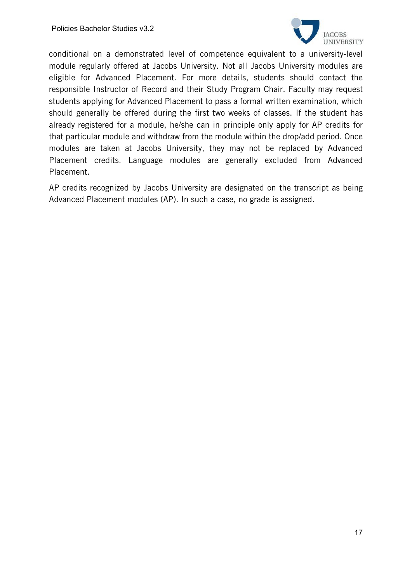

conditional on a demonstrated level of competence equivalent to a university-level module regularly offered at Jacobs University. Not all Jacobs University modules are eligible for Advanced Placement. For more details, students should contact the responsible Instructor of Record and their Study Program Chair. Faculty may request students applying for Advanced Placement to pass a formal written examination, which should generally be offered during the first two weeks of classes. If the student has already registered for a module, he/she can in principle only apply for AP credits for that particular module and withdraw from the module within the drop/add period. Once modules are taken at Jacobs University, they may not be replaced by Advanced Placement credits. Language modules are generally excluded from Advanced Placement.

AP credits recognized by Jacobs University are designated on the transcript as being Advanced Placement modules (AP). In such a case, no grade is assigned.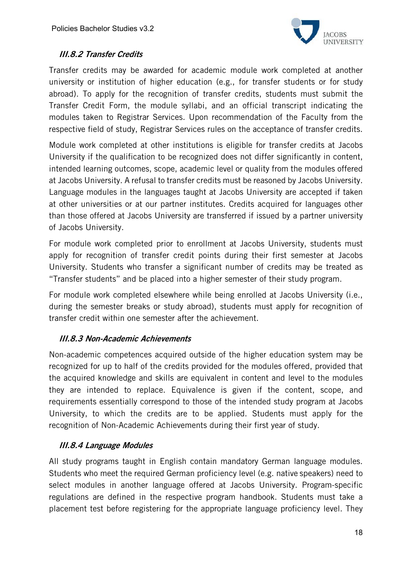

# III.8.2 Transfer Credits

Transfer credits may be awarded for academic module work completed at another university or institution of higher education (e.g., for transfer students or for study abroad). To apply for the recognition of transfer credits, students must submit the Transfer Credit Form, the module syllabi, and an official transcript indicating the modules taken to Registrar Services. Upon recommendation of the Faculty from the respective field of study, Registrar Services rules on the acceptance of transfer credits.

Module work completed at other institutions is eligible for transfer credits at Jacobs University if the qualification to be recognized does not differ significantly in content, intended learning outcomes, scope, academic level or quality from the modules offered at Jacobs University. A refusal to transfer credits must be reasoned by Jacobs University. Language modules in the languages taught at Jacobs University are accepted if taken at other universities or at our partner institutes. Credits acquired for languages other than those offered at Jacobs University are transferred if issued by a partner university of Jacobs University.

For module work completed prior to enrollment at Jacobs University, students must apply for recognition of transfer credit points during their first semester at Jacobs University. Students who transfer a significant number of credits may be treated as "Transfer students" and be placed into a higher semester of their study program.

For module work completed elsewhere while being enrolled at Jacobs University (i.e., during the semester breaks or study abroad), students must apply for recognition of transfer credit within one semester after the achievement.

### III.8.3 Non-Academic Achievements

Non-academic competences acquired outside of the higher education system may be recognized for up to half of the credits provided for the modules offered, provided that the acquired knowledge and skills are equivalent in content and level to the modules they are intended to replace. Equivalence is given if the content, scope, and requirements essentially correspond to those of the intended study program at Jacobs University, to which the credits are to be applied. Students must apply for the recognition of Non-Academic Achievements during their first year of study.

### III.8.4 Language Modules

All study programs taught in English contain mandatory German language modules. Students who meet the required German proficiency level (e.g. native speakers) need to select modules in another language offered at Jacobs University. Program-specific regulations are defined in the respective program handbook. Students must take a placement test before registering for the appropriate language proficiency level. They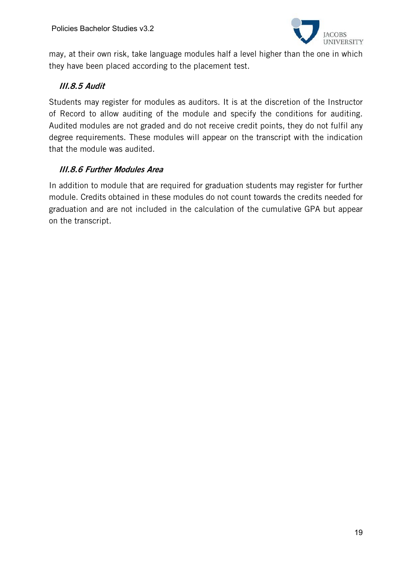

may, at their own risk, take language modules half a level higher than the one in which they have been placed according to the placement test.

# III.8.5 Audit

Students may register for modules as auditors. It is at the discretion of the Instructor of Record to allow auditing of the module and specify the conditions for auditing. Audited modules are not graded and do not receive credit points, they do not fulfil any degree requirements. These modules will appear on the transcript with the indication that the module was audited.

# III.8.6 Further Modules Area

In addition to module that are required for graduation students may register for further module. Credits obtained in these modules do not count towards the credits needed for graduation and are not included in the calculation of the cumulative GPA but appear on the transcript.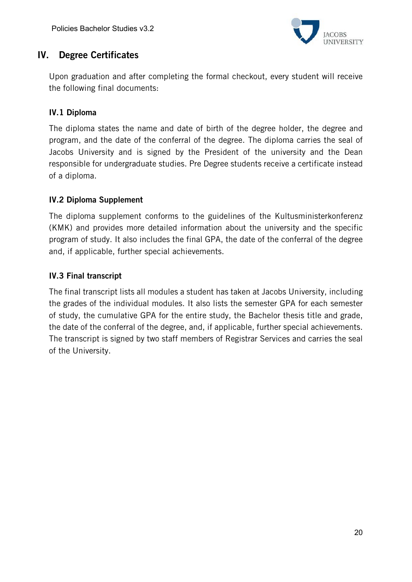

# IV. Degree Certificates

Upon graduation and after completing the formal checkout, every student will receive the following final documents:

# IV.1 Diploma

The diploma states the name and date of birth of the degree holder, the degree and program, and the date of the conferral of the degree. The diploma carries the seal of Jacobs University and is signed by the President of the university and the Dean responsible for undergraduate studies. Pre Degree students receive a certificate instead of a diploma.

### IV.2 Diploma Supplement

The diploma supplement conforms to the guidelines of the Kultusministerkonferenz (KMK) and provides more detailed information about the university and the specific program of study. It also includes the final GPA, the date of the conferral of the degree and, if applicable, further special achievements.

### IV.3 Final transcript

The final transcript lists all modules a student has taken at Jacobs University, including the grades of the individual modules. It also lists the semester GPA for each semester of study, the cumulative GPA for the entire study, the Bachelor thesis title and grade, the date of the conferral of the degree, and, if applicable, further special achievements. The transcript is signed by two staff members of Registrar Services and carries the seal of the University.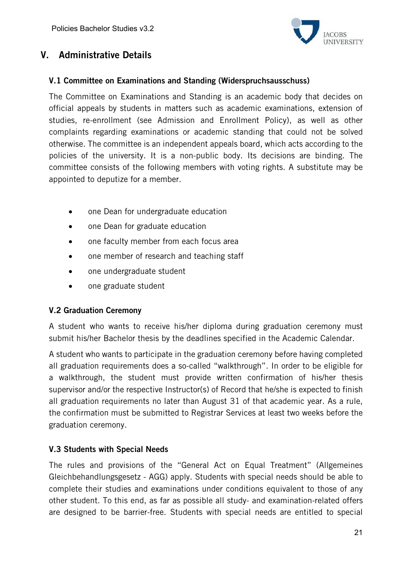

# V. Administrative Details

### V.1 Committee on Examinations and Standing (Widerspruchsausschuss)

The Committee on Examinations and Standing is an academic body that decides on official appeals by students in matters such as academic examinations, extension of studies, re-enrollment (see Admission and Enrollment Policy), as well as other complaints regarding examinations or academic standing that could not be solved otherwise. The committee is an independent appeals board, which acts according to the policies of the university. It is a non-public body. Its decisions are binding. The committee consists of the following members with voting rights. A substitute may be appointed to deputize for a member.

- one Dean for undergraduate education
- one Dean for graduate education
- one faculty member from each focus area
- one member of research and teaching staff
- one undergraduate student
- one graduate student

### V.2 Graduation Ceremony

A student who wants to receive his/her diploma during graduation ceremony must submit his/her Bachelor thesis by the deadlines specified in the Academic Calendar.

A student who wants to participate in the graduation ceremony before having completed all graduation requirements does a so-called "walkthrough". In order to be eligible for a walkthrough, the student must provide written confirmation of his/her thesis supervisor and/or the respective Instructor(s) of Record that he/she is expected to finish all graduation requirements no later than August 31 of that academic year. As a rule, the confirmation must be submitted to Registrar Services at least two weeks before the graduation ceremony.

# V.3 Students with Special Needs

The rules and provisions of the "General Act on Equal Treatment" (Allgemeines Gleichbehandlungsgesetz - AGG) apply. Students with special needs should be able to complete their studies and examinations under conditions equivalent to those of any other student. To this end, as far as possible all study- and examination-related offers are designed to be barrier-free. Students with special needs are entitled to special